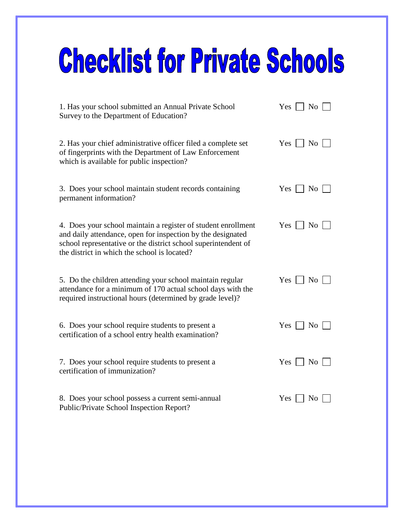## **Checklist for Private Schools**

| 1. Has your school submitted an Annual Private School<br>Survey to the Department of Education?                                                                                                                                                | $Yes \mid \mid No \mid$      |
|------------------------------------------------------------------------------------------------------------------------------------------------------------------------------------------------------------------------------------------------|------------------------------|
| 2. Has your chief administrative officer filed a complete set<br>of fingerprints with the Department of Law Enforcement<br>which is available for public inspection?                                                                           | $Yes \mid \mid No$           |
| 3. Does your school maintain student records containing<br>permanent information?                                                                                                                                                              | Yes $\Box$ No $\Box$         |
| 4. Does your school maintain a register of student enrollment<br>and daily attendance, open for inspection by the designated<br>school representative or the district school superintendent of<br>the district in which the school is located? | $Yes \mid \mid No \mid \mid$ |
| 5. Do the children attending your school maintain regular<br>attendance for a minimum of 170 actual school days with the<br>required instructional hours (determined by grade level)?                                                          | $Yes \mid \mid No \mid$      |
| 6. Does your school require students to present a<br>certification of a school entry health examination?                                                                                                                                       | $Yes \mid \mid No \mid \mid$ |
| 7. Does your school require students to present a<br>certification of immunization?                                                                                                                                                            | $Yes \mid \mid No \mid$      |
| 8. Does your school possess a current semi-annual<br>Public/Private School Inspection Report?                                                                                                                                                  | Yes  <br>$\mid$ No           |